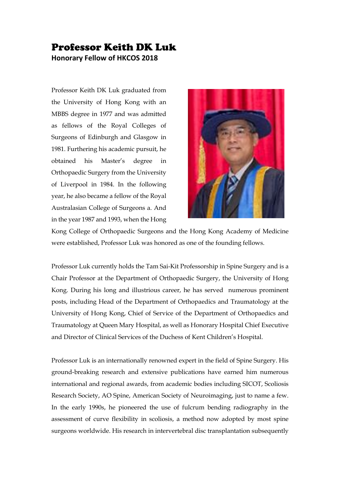## Professor Keith DK Luk **Honorary Fellow of HKCOS 2018**

Professor Keith DK Luk graduated from the University of Hong Kong with an MBBS degree in 1977 and was admitted as fellows of the Royal Colleges of Surgeons of Edinburgh and Glasgow in 1981. Furthering his academic pursuit, he obtained his Master's degree in Orthopaedic Surgery from the University of Liverpool in 1984. In the following year, he also became a fellow of the Royal Australasian College of Surgeons a. And in the year 1987 and 1993, when the Hong



Kong College of Orthopaedic Surgeons and the Hong Kong Academy of Medicine were established, Professor Luk was honored as one of the founding fellows.

Professor Luk currently holds the Tam Sai-Kit Professorship in Spine Surgery and is a Chair Professor at the Department of Orthopaedic Surgery, the University of Hong Kong. During his long and illustrious career, he has served numerous prominent posts, including Head of the Department of Orthopaedics and Traumatology at the University of Hong Kong, Chief of Service of the Department of Orthopaedics and Traumatology at Queen Mary Hospital, as well as Honorary Hospital Chief Executive and Director of Clinical Services of the Duchess of Kent Children's Hospital.

Professor Luk is an internationally renowned expert in the field of Spine Surgery. His ground-breaking research and extensive publications have earned him numerous international and regional awards, from academic bodies including SICOT, Scoliosis Research Society, AO Spine, American Society of Neuroimaging, just to name a few. In the early 1990s, he pioneered the use of fulcrum bending radiography in the assessment of curve flexibility in scoliosis, a method now adopted by most spine surgeons worldwide. His research in intervertebral disc transplantation subsequently